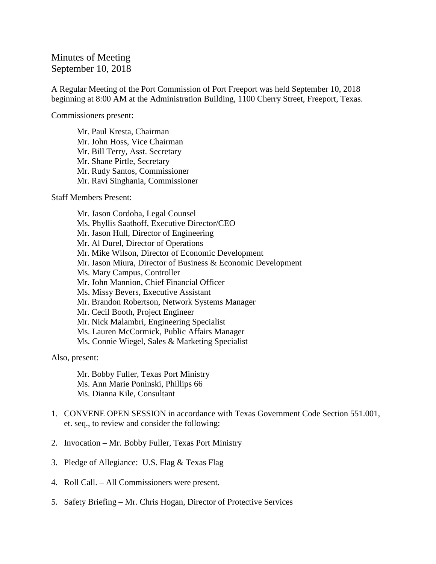## Minutes of Meeting September 10, 2018

A Regular Meeting of the Port Commission of Port Freeport was held September 10, 2018 beginning at 8:00 AM at the Administration Building, 1100 Cherry Street, Freeport, Texas.

Commissioners present:

Mr. Paul Kresta, Chairman Mr. John Hoss, Vice Chairman Mr. Bill Terry, Asst. Secretary Mr. Shane Pirtle, Secretary Mr. Rudy Santos, Commissioner Mr. Ravi Singhania, Commissioner

Staff Members Present:

Mr. Jason Cordoba, Legal Counsel Ms. Phyllis Saathoff, Executive Director/CEO Mr. Jason Hull, Director of Engineering Mr. Al Durel, Director of Operations Mr. Mike Wilson, Director of Economic Development Mr. Jason Miura, Director of Business & Economic Development Ms. Mary Campus, Controller Mr. John Mannion, Chief Financial Officer Ms. Missy Bevers, Executive Assistant Mr. Brandon Robertson, Network Systems Manager Mr. Cecil Booth, Project Engineer Mr. Nick Malambri, Engineering Specialist Ms. Lauren McCormick, Public Affairs Manager Ms. Connie Wiegel, Sales & Marketing Specialist

Also, present:

Mr. Bobby Fuller, Texas Port Ministry Ms. Ann Marie Poninski, Phillips 66 Ms. Dianna Kile, Consultant

- 1. CONVENE OPEN SESSION in accordance with Texas Government Code Section 551.001, et. seq., to review and consider the following:
- 2. Invocation Mr. Bobby Fuller, Texas Port Ministry
- 3. Pledge of Allegiance: U.S. Flag & Texas Flag
- 4. Roll Call. All Commissioners were present.
- 5. Safety Briefing Mr. Chris Hogan, Director of Protective Services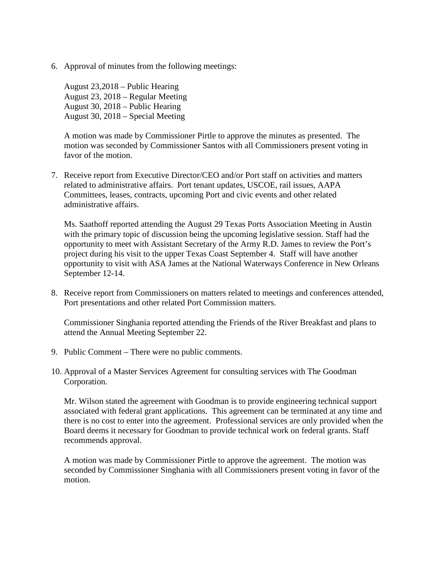6. Approval of minutes from the following meetings:

August 23,2018 – Public Hearing August 23, 2018 – Regular Meeting August 30, 2018 – Public Hearing August 30, 2018 – Special Meeting

A motion was made by Commissioner Pirtle to approve the minutes as presented. The motion was seconded by Commissioner Santos with all Commissioners present voting in favor of the motion.

7. Receive report from Executive Director/CEO and/or Port staff on activities and matters related to administrative affairs. Port tenant updates, USCOE, rail issues, AAPA Committees, leases, contracts, upcoming Port and civic events and other related administrative affairs.

Ms. Saathoff reported attending the August 29 Texas Ports Association Meeting in Austin with the primary topic of discussion being the upcoming legislative session. Staff had the opportunity to meet with Assistant Secretary of the Army R.D. James to review the Port's project during his visit to the upper Texas Coast September 4. Staff will have another opportunity to visit with ASA James at the National Waterways Conference in New Orleans September 12-14.

8. Receive report from Commissioners on matters related to meetings and conferences attended, Port presentations and other related Port Commission matters.

Commissioner Singhania reported attending the Friends of the River Breakfast and plans to attend the Annual Meeting September 22.

- 9. Public Comment There were no public comments.
- 10. Approval of a Master Services Agreement for consulting services with The Goodman Corporation.

Mr. Wilson stated the agreement with Goodman is to provide engineering technical support associated with federal grant applications. This agreement can be terminated at any time and there is no cost to enter into the agreement. Professional services are only provided when the Board deems it necessary for Goodman to provide technical work on federal grants. Staff recommends approval.

A motion was made by Commissioner Pirtle to approve the agreement. The motion was seconded by Commissioner Singhania with all Commissioners present voting in favor of the motion.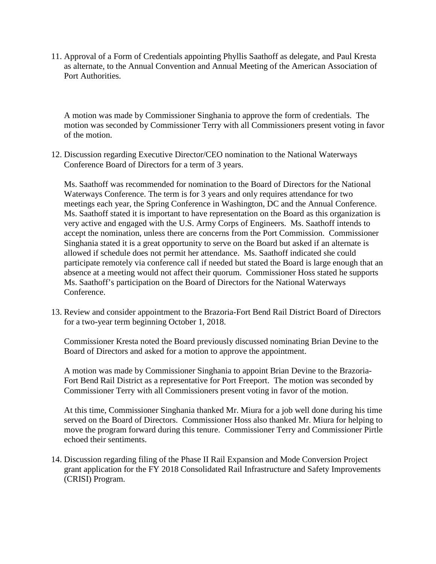11. Approval of a Form of Credentials appointing Phyllis Saathoff as delegate, and Paul Kresta as alternate, to the Annual Convention and Annual Meeting of the American Association of Port Authorities.

A motion was made by Commissioner Singhania to approve the form of credentials. The motion was seconded by Commissioner Terry with all Commissioners present voting in favor of the motion.

12. Discussion regarding Executive Director/CEO nomination to the National Waterways Conference Board of Directors for a term of 3 years.

Ms. Saathoff was recommended for nomination to the Board of Directors for the National Waterways Conference. The term is for 3 years and only requires attendance for two meetings each year, the Spring Conference in Washington, DC and the Annual Conference. Ms. Saathoff stated it is important to have representation on the Board as this organization is very active and engaged with the U.S. Army Corps of Engineers. Ms. Saathoff intends to accept the nomination, unless there are concerns from the Port Commission. Commissioner Singhania stated it is a great opportunity to serve on the Board but asked if an alternate is allowed if schedule does not permit her attendance. Ms. Saathoff indicated she could participate remotely via conference call if needed but stated the Board is large enough that an absence at a meeting would not affect their quorum. Commissioner Hoss stated he supports Ms. Saathoff's participation on the Board of Directors for the National Waterways Conference.

13. Review and consider appointment to the Brazoria-Fort Bend Rail District Board of Directors for a two-year term beginning October 1, 2018.

Commissioner Kresta noted the Board previously discussed nominating Brian Devine to the Board of Directors and asked for a motion to approve the appointment.

A motion was made by Commissioner Singhania to appoint Brian Devine to the Brazoria-Fort Bend Rail District as a representative for Port Freeport. The motion was seconded by Commissioner Terry with all Commissioners present voting in favor of the motion.

At this time, Commissioner Singhania thanked Mr. Miura for a job well done during his time served on the Board of Directors. Commissioner Hoss also thanked Mr. Miura for helping to move the program forward during this tenure. Commissioner Terry and Commissioner Pirtle echoed their sentiments.

14. Discussion regarding filing of the Phase II Rail Expansion and Mode Conversion Project grant application for the FY 2018 Consolidated Rail Infrastructure and Safety Improvements (CRISI) Program.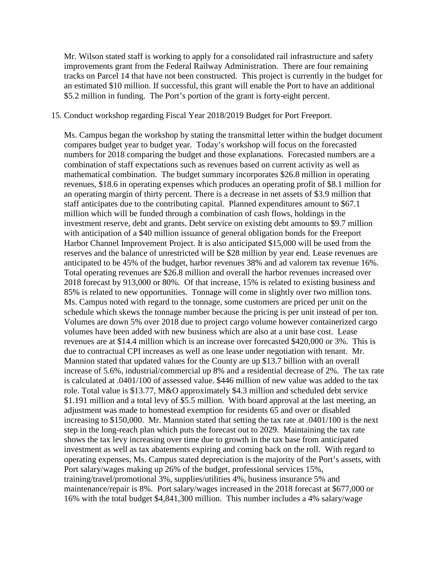Mr. Wilson stated staff is working to apply for a consolidated rail infrastructure and safety improvements grant from the Federal Railway Administration. There are four remaining tracks on Parcel 14 that have not been constructed. This project is currently in the budget for an estimated \$10 million. If successful, this grant will enable the Port to have an additional \$5.2 million in funding. The Port's portion of the grant is forty-eight percent.

## 15. Conduct workshop regarding Fiscal Year 2018/2019 Budget for Port Freeport.

Ms. Campus began the workshop by stating the transmittal letter within the budget document compares budget year to budget year. Today's workshop will focus on the forecasted numbers for 2018 comparing the budget and those explanations. Forecasted numbers are a combination of staff expectations such as revenues based on current activity as well as mathematical combination. The budget summary incorporates \$26.8 million in operating revenues, \$18.6 in operating expenses which produces an operating profit of \$8.1 million for an operating margin of thirty percent. There is a decrease in net assets of \$3.9 million that staff anticipates due to the contributing capital. Planned expenditures amount to \$67.1 million which will be funded through a combination of cash flows, holdings in the investment reserve, debt and grants. Debt service on existing debt amounts to \$9.7 million with anticipation of a \$40 million issuance of general obligation bonds for the Freeport Harbor Channel Improvement Project. It is also anticipated \$15,000 will be used from the reserves and the balance of unrestricted will be \$28 million by year end. Lease revenues are anticipated to be 45% of the budget, harbor revenues 38% and ad valorem tax revenue 16%. Total operating revenues are \$26.8 million and overall the harbor revenues increased over 2018 forecast by 913,000 or 80%. Of that increase, 15% is related to existing business and 85% is related to new opportunities. Tonnage will come in slightly over two million tons. Ms. Campus noted with regard to the tonnage, some customers are priced per unit on the schedule which skews the tonnage number because the pricing is per unit instead of per ton. Volumes are down 5% over 2018 due to project cargo volume however containerized cargo volumes have been added with new business which are also at a unit base cost. Lease revenues are at \$14.4 million which is an increase over forecasted \$420,000 or 3%. This is due to contractual CPI increases as well as one lease under negotiation with tenant. Mr. Mannion stated that updated values for the County are up \$13.7 billion with an overall increase of 5.6%, industrial/commercial up 8% and a residential decrease of 2%. The tax rate is calculated at .0401/100 of assessed value. \$446 million of new value was added to the tax role. Total value is \$13.77, M&O approximately \$4.3 million and scheduled debt service \$1.191 million and a total levy of \$5.5 million. With board approval at the last meeting, an adjustment was made to homestead exemption for residents 65 and over or disabled increasing to \$150,000. Mr. Mannion stated that setting the tax rate at .0401/100 is the next step in the long-reach plan which puts the forecast out to 2029. Maintaining the tax rate shows the tax levy increasing over time due to growth in the tax base from anticipated investment as well as tax abatements expiring and coming back on the roll. With regard to operating expenses, Ms. Campus stated depreciation is the majority of the Port's assets, with Port salary/wages making up 26% of the budget, professional services 15%, training/travel/promotional 3%, supplies/utilities 4%, business insurance 5% and maintenance/repair is 8%. Port salary/wages increased in the 2018 forecast at \$677,000 or 16% with the total budget \$4,841,300 million. This number includes a 4% salary/wage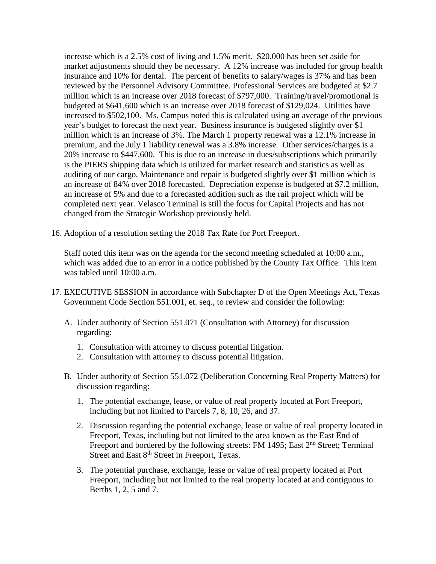increase which is a 2.5% cost of living and 1.5% merit. \$20,000 has been set aside for market adjustments should they be necessary. A 12% increase was included for group health insurance and 10% for dental. The percent of benefits to salary/wages is 37% and has been reviewed by the Personnel Advisory Committee. Professional Services are budgeted at \$2.7 million which is an increase over 2018 forecast of \$797,000. Training/travel/promotional is budgeted at \$641,600 which is an increase over 2018 forecast of \$129,024. Utilities have increased to \$502,100. Ms. Campus noted this is calculated using an average of the previous year's budget to forecast the next year. Business insurance is budgeted slightly over \$1 million which is an increase of 3%. The March 1 property renewal was a 12.1% increase in premium, and the July 1 liability renewal was a 3.8% increase. Other services/charges is a 20% increase to \$447,600. This is due to an increase in dues/subscriptions which primarily is the PIERS shipping data which is utilized for market research and statistics as well as auditing of our cargo. Maintenance and repair is budgeted slightly over \$1 million which is an increase of 84% over 2018 forecasted. Depreciation expense is budgeted at \$7.2 million, an increase of 5% and due to a forecasted addition such as the rail project which will be completed next year. Velasco Terminal is still the focus for Capital Projects and has not changed from the Strategic Workshop previously held.

16. Adoption of a resolution setting the 2018 Tax Rate for Port Freeport.

Staff noted this item was on the agenda for the second meeting scheduled at 10:00 a.m., which was added due to an error in a notice published by the County Tax Office. This item was tabled until 10:00 a.m.

- 17. EXECUTIVE SESSION in accordance with Subchapter D of the Open Meetings Act, Texas Government Code Section 551.001, et. seq., to review and consider the following:
	- A. Under authority of Section 551.071 (Consultation with Attorney) for discussion regarding:
		- 1. Consultation with attorney to discuss potential litigation.
		- 2. Consultation with attorney to discuss potential litigation.
	- B. Under authority of Section 551.072 (Deliberation Concerning Real Property Matters) for discussion regarding:
		- 1. The potential exchange, lease, or value of real property located at Port Freeport, including but not limited to Parcels 7, 8, 10, 26, and 37.
		- 2. Discussion regarding the potential exchange, lease or value of real property located in Freeport, Texas, including but not limited to the area known as the East End of Freeport and bordered by the following streets: FM 1495; East 2<sup>nd</sup> Street; Terminal Street and East 8<sup>th</sup> Street in Freeport, Texas.
		- 3. The potential purchase, exchange, lease or value of real property located at Port Freeport, including but not limited to the real property located at and contiguous to Berths 1, 2, 5 and 7.